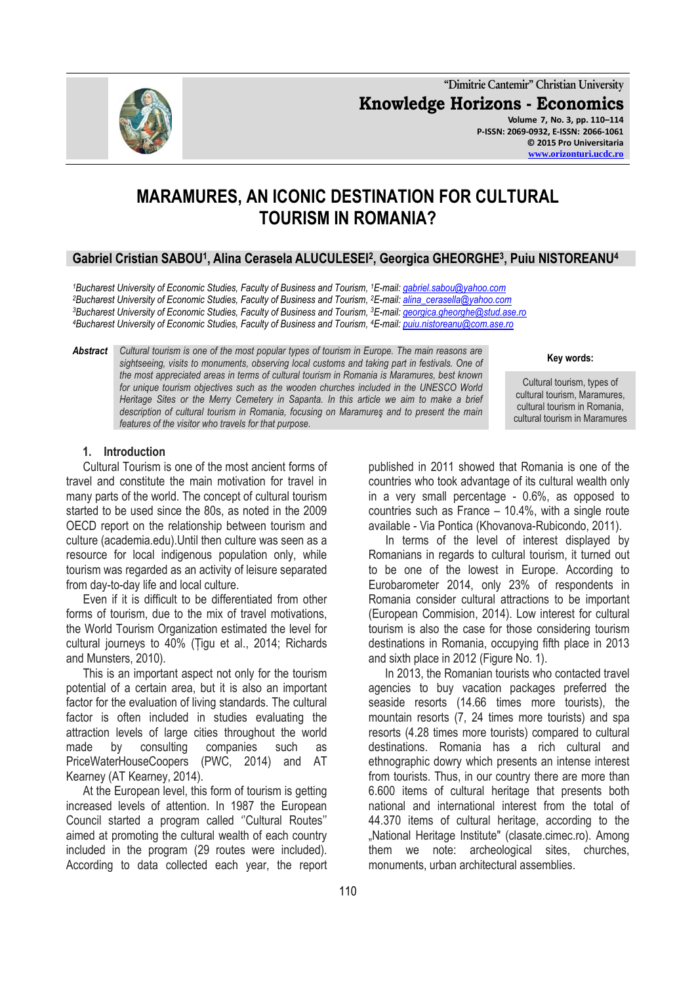**"Dimitrie Cantemir" Christian University Knowledge Horizons - Economics Volume 7, No. 3, pp. 110–114 P-ISSN: 2069-0932, E-ISSN: 2066-1061 © 2015 Pro Universitaria [www.orizonturi.ucdc.ro](http://www.orizonturi.ucdc.ro/)**

# **MARAMURES, AN ICONIC DESTINATION FOR CULTURAL TOURISM IN ROMANIA?**

## **Gabriel Cristian SABOU<sup>1</sup> , Alina Cerasela ALUCULESEI<sup>2</sup> , Georgica GHEORGHE<sup>3</sup> , Puiu NISTOREANU<sup>4</sup>**

*Bucharest University of Economic Studies, Faculty of Business and Tourism, <sup>1</sup>E-mail: [gabriel.sabou@yahoo.com](mailto:gabriel.sabou@yahoo.com) Bucharest University of Economic Studies, Faculty of Business and Tourism, <sup>2</sup>E-mail: [alina\\_cerasella@yahoo.com](mailto:alina_cerasella@yahoo.com) Bucharest University of Economic Studies, Faculty of Business and Tourism, <sup>3</sup>E-mail: [georgica.gheorghe@stud.ase.ro](mailto:georgica.gheorghe@stud.ase.ro) Bucharest University of Economic Studies, Faculty of Business and Tourism, <sup>4</sup>E-mail: [puiu.nistoreanu@com.ase.ro](mailto:puiu.nistoreanu@com.ase.ro)*

*Abstract Cultural tourism is one of the most popular types of tourism in Europe. The main reasons are sightseeing, visits to monuments, observing local customs and taking part in festivals. One of the most appreciated areas in terms of cultural tourism in Romania is Maramures, best known for unique tourism objectives such as the wooden churches included in the UNESCO World Heritage Sites or the Merry Cemetery in Sapanta. In this article we aim to make a brief description of cultural tourism in Romania, focusing on Maramureş and to present the main features of the visitor who travels for that purpose.*

**1. Introduction**

Cultural Tourism is one of the most ancient forms of travel and constitute the main motivation for travel in many parts of the world. The concept of cultural tourism started to be used since the 80s, as noted in the 2009 OECD report on the relationship between tourism and culture (academia.edu).Until then culture was seen as a resource for local indigenous population only, while tourism was regarded as an activity of leisure separated from day-to-day life and local culture.

Even if it is difficult to be differentiated from other forms of tourism, due to the mix of travel motivations, the World Tourism Organization estimated the level for cultural journeys to 40% (Țigu et al., 2014; Richards and Munsters, 2010).

This is an important aspect not only for the tourism potential of a certain area, but it is also an important factor for the evaluation of living standards. The cultural factor is often included in studies evaluating the attraction levels of large cities throughout the world made by consulting companies such as PriceWaterHouseCoopers (PWC, 2014) and AT Kearney (AT Kearney, 2014).

At the European level, this form of tourism is getting increased levels of attention. In 1987 the European Council started a program called "Cultural Routes" aimed at promoting the cultural wealth of each country included in the program (29 routes were included). According to data collected each year, the report **Key words:**

Cultural tourism, types of cultural tourism, Maramures, cultural tourism in Romania, cultural tourism in Maramures

published in 2011 showed that Romania is one of the countries who took advantage of its cultural wealth only in a very small percentage - 0.6%, as opposed to countries such as France – 10.4%, with a single route available - Via Pontica (Khovanova-Rubicondo, 2011).

In terms of the level of interest displayed by Romanians in regards to cultural tourism, it turned out to be one of the lowest in Europe. According to Eurobarometer 2014, only 23% of respondents in Romania consider cultural attractions to be important (European Commision, 2014). Low interest for cultural tourism is also the case for those considering tourism destinations in Romania, occupying fifth place in 2013 and sixth place in 2012 (Figure No. 1).

In 2013, the Romanian tourists who contacted travel agencies to buy vacation packages preferred the seaside resorts (14.66 times more tourists), the mountain resorts (7, 24 times more tourists) and spa resorts (4.28 times more tourists) compared to cultural destinations. Romania has a rich cultural and ethnographic dowry which presents an intense interest from tourists. Thus, in our country there are more than 6.600 items of cultural heritage that presents both national and international interest from the total of 44.370 items of cultural heritage, according to the "National Heritage Institute" (clasate.cimec.ro). Among them we note: archeological sites, churches, monuments, urban architectural assemblies.

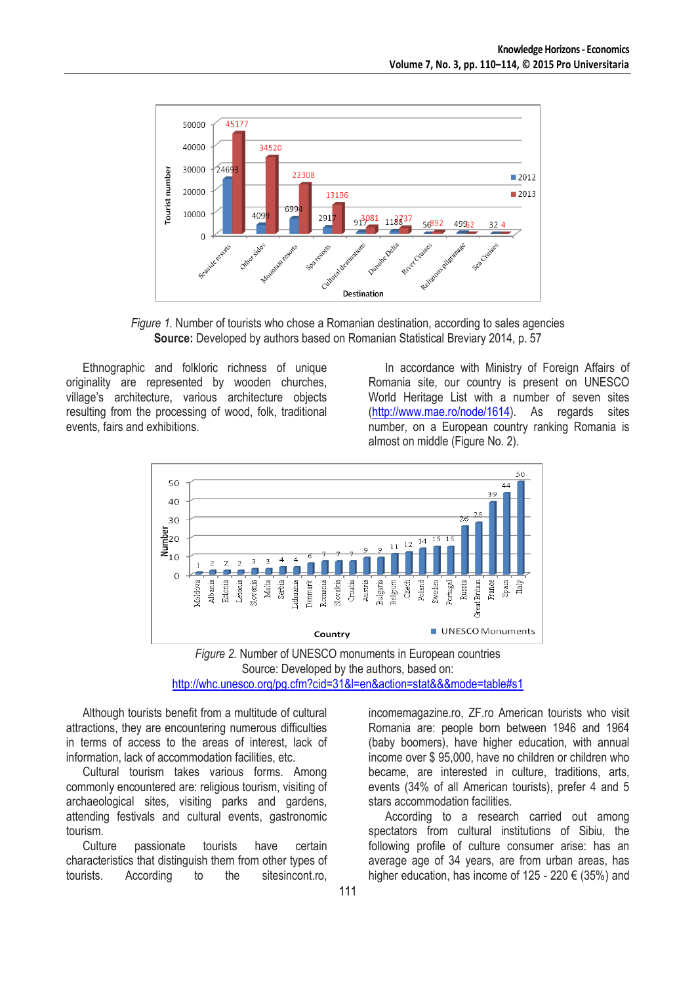

*Figure 1.* Number of tourists who chose a Romanian destination, according to sales agencies **Source:** Developed by authors based on Romanian Statistical Breviary 2014, p. 57

Ethnographic and folkloric richness of unique originality are represented by wooden churches, village"s architecture, various architecture objects resulting from the processing of wood, folk, traditional events, fairs and exhibitions.

In accordance with Ministry of Foreign Affairs of Romania site, our country is present on UNESCO World Heritage List with a number of seven sites [\(http://www.mae.ro/node/1614\)](http://www.mae.ro/node/1614). As regards sites number, on a European country ranking Romania is almost on middle (Figure No. 2).





Although tourists benefit from a multitude of cultural attractions, they are encountering numerous difficulties in terms of access to the areas of interest, lack of information, lack of accommodation facilities, etc.

Cultural tourism takes various forms. Among commonly encountered are: religious tourism, visiting of archaeological sites, visiting parks and gardens, attending festivals and cultural events, gastronomic tourism.

Culture passionate tourists have certain characteristics that distinguish them from other types of tourists. According to the sitesincont.ro,

incomemagazine.ro, ZF.ro American tourists who visit Romania are: people born between 1946 and 1964 (baby boomers), have higher education, with annual income over \$ 95,000, have no children or children who became, are interested in culture, traditions, arts, events (34% of all American tourists), prefer 4 and 5 stars accommodation facilities.

According to a research carried out among spectators from cultural institutions of Sibiu, the following profile of culture consumer arise: has an average age of 34 years, are from urban areas, has higher education, has income of 125 - 220  $\epsilon$  (35%) and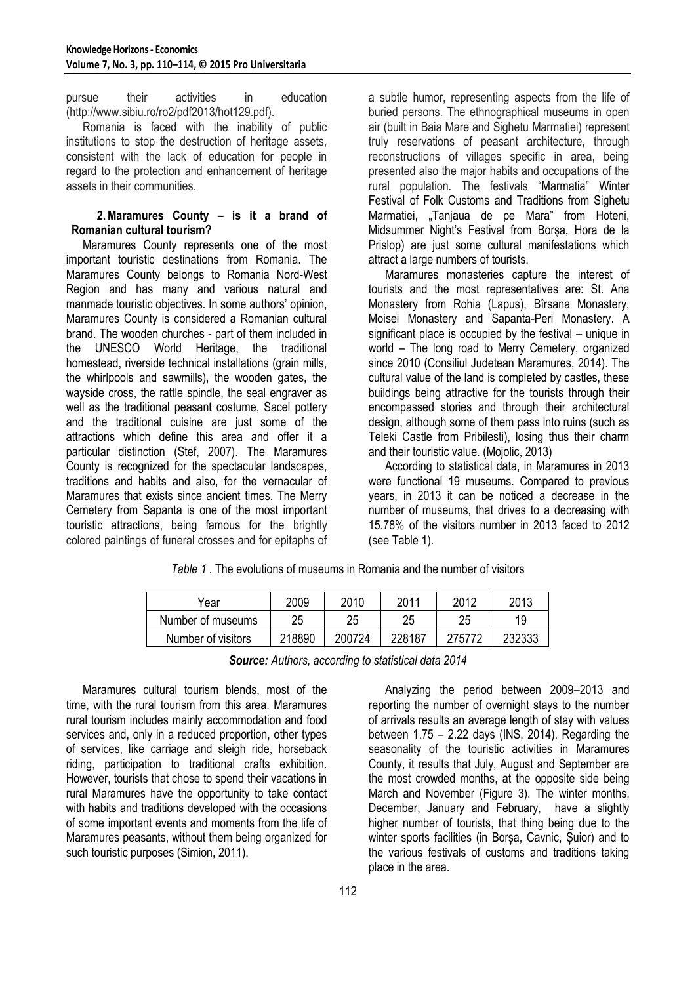pursue their activities in education (http://www.sibiu.ro/ro2/pdf2013/hot129.pdf).

Romania is faced with the inability of public institutions to stop the destruction of heritage assets, consistent with the lack of education for people in regard to the protection and enhancement of heritage assets in their communities.

### **2.Maramures County – is it a brand of Romanian cultural tourism?**

Maramures County represents one of the most important touristic destinations from Romania. The Maramures County belongs to Romania Nord-West Region and has many and various natural and manmade touristic objectives. In some authors' opinion, Maramures County is considered a Romanian cultural brand. The wooden churches - part of them included in the UNESCO World Heritage, the traditional homestead, riverside technical installations (grain mills, the whirlpools and sawmills), the wooden gates, the wayside cross, the rattle spindle, the seal engraver as well as the traditional peasant costume, Sacel pottery and the traditional cuisine are just some of the attractions which define this area and offer it a particular distinction (Stef, 2007). The Maramures County is recognized for the spectacular landscapes, traditions and habits and also, for the vernacular of Maramures that exists since ancient times. The Merry Cemetery from Sapanta is one of the most important touristic attractions, being famous for the brightly colored paintings of funeral crosses and for epitaphs of

a subtle humor, representing aspects from the life of buried persons. The ethnographical museums in open air (built in Baia Mare and Sighetu Marmatiei) represent truly reservations of peasant architecture, through reconstructions of villages specific in area, being presented also the major habits and occupations of the rural population. The festivals "Marmatia" Winter Festival of Folk Customs and Traditions from Sighetu Marmatiei, "Tanjaua de pe Mara" from Hoteni, Midsummer Night's Festival from Borsa, Hora de la Prislop) are just some cultural manifestations which attract a large numbers of tourists.

Maramures monasteries capture the interest of tourists and the most representatives are: St. Ana Monastery from Rohia (Lapus), Bîrsana Monastery, Moisei Monastery and Sapanta-Peri Monastery. A significant place is occupied by the festival – unique in world – The long road to Merry Cemetery, organized since 2010 (Consiliul Judetean Maramures, 2014). The cultural value of the land is completed by castles, these buildings being attractive for the tourists through their encompassed stories and through their architectural design, although some of them pass into ruins (such as Teleki Castle from Pribilesti), losing thus their charm and their touristic value. (Mojolic, 2013)

According to statistical data, in Maramures in 2013 were functional 19 museums. Compared to previous years, in 2013 it can be noticed a decrease in the number of museums, that drives to a decreasing with 15.78% of the visitors number in 2013 faced to 2012 (see Table 1).

| Year               | 2009   | 2010   | 2011   | 2012   | 2013   |
|--------------------|--------|--------|--------|--------|--------|
| Number of museums  | 25     | 25     | 25     | 25     | 19     |
| Number of visitors | 218890 | 200724 | 228187 | 275772 | 232333 |

*Table 1 .* The evolutions of museums in Romania and the number of visitors

| Source: Authors, according to statistical data 2014 |  |  |  |  |
|-----------------------------------------------------|--|--|--|--|
|-----------------------------------------------------|--|--|--|--|

Maramures cultural tourism blends, most of the time, with the rural tourism from this area. Maramures rural tourism includes mainly accommodation and food services and, only in a reduced proportion, other types of services, like carriage and sleigh ride, horseback riding, participation to traditional crafts exhibition. However, tourists that chose to spend their vacations in rural Maramures have the opportunity to take contact with habits and traditions developed with the occasions of some important events and moments from the life of Maramures peasants, without them being organized for such touristic purposes (Simion, 2011).

Analyzing the period between 2009–2013 and reporting the number of overnight stays to the number of arrivals results an average length of stay with values between  $1.75 - 2.22$  days (INS, 2014). Regarding the seasonality of the touristic activities in Maramures County, it results that July, August and September are the most crowded months, at the opposite side being March and November (Figure 3). The winter months, December, January and February, have a slightly higher number of tourists, that thing being due to the winter sports facilities (in Borsa, Cavnic, Suior) and to the various festivals of customs and traditions taking place in the area.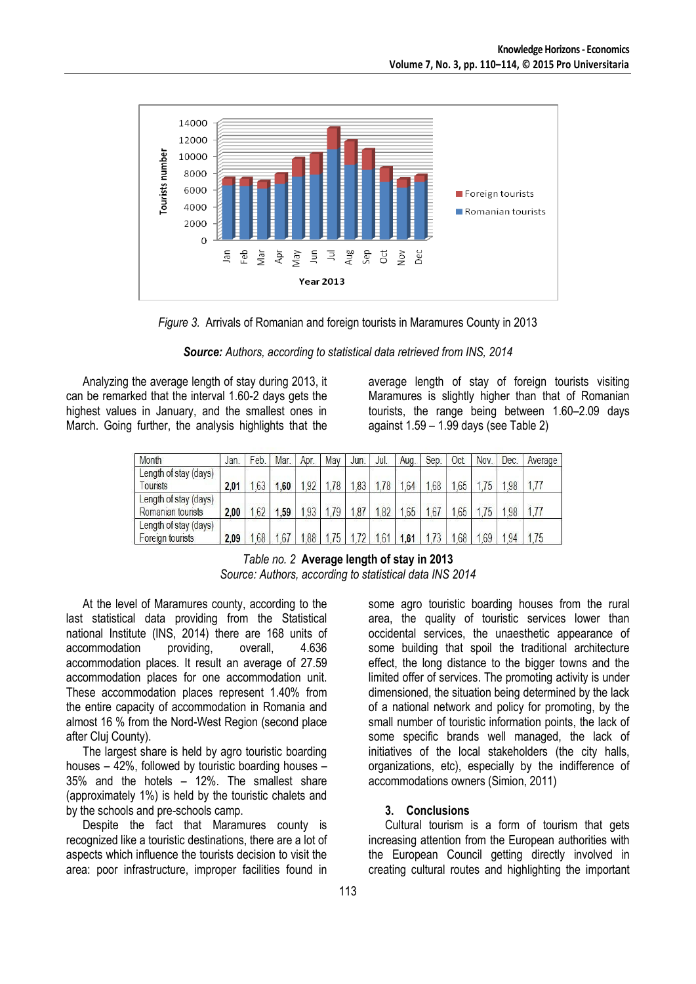



Analyzing the average length of stay during 2013, it can be remarked that the interval 1.60-2 days gets the highest values in January, and the smallest ones in March. Going further, the analysis highlights that the average length of stay of foreign tourists visiting Maramures is slightly higher than that of Romanian tourists, the range being between 1.60–2.09 days against 1.59 – 1.99 days (see Table 2)

| Month                                      | Jan  | Feb. | Mar. | Apr. | May  | Jun. | Jul. | Aug. | Sep. | <b>Oct</b> | Nov. | Dec. | Average |
|--------------------------------------------|------|------|------|------|------|------|------|------|------|------------|------|------|---------|
| Length of stay (days)<br>Tourists          | 2,01 | .63  | 1,60 | 1,92 |      |      | .78  | 1,64 | 1,68 | 1,65       | .75  | .98  |         |
| Length of stay (days)<br>Romanian tourists | 2,00 | .62  | 1.59 | 1,93 | 1.79 |      | .82  | .65  | 1.67 | .65        | .75  | .98  |         |
| Length of stay (days)<br>Foreign tourists  | 2,09 | .68  | .67  | 1.88 | 1.75 | 72   | 1.61 | 1.61 | 173  | 1.68       | 1.69 | 1.94 |         |

*Table no. 2* **Average length of stay in 2013** *Source: Authors, according to statistical data INS 2014*

At the level of Maramures county, according to the last statistical data providing from the Statistical national Institute (INS, 2014) there are 168 units of accommodation providing, overall, 4.636 accommodation places. It result an average of 27.59 accommodation places for one accommodation unit. These accommodation places represent 1.40% from the entire capacity of accommodation in Romania and almost 16 % from the Nord-West Region (second place after Cluj County).

The largest share is held by agro touristic boarding houses – 42%, followed by touristic boarding houses – 35% and the hotels – 12%. The smallest share (approximately 1%) is held by the touristic chalets and by the schools and pre-schools camp.

Despite the fact that Maramures county is recognized like a touristic destinations, there are a lot of aspects which influence the tourists decision to visit the area: poor infrastructure, improper facilities found in

some agro touristic boarding houses from the rural area, the quality of touristic services lower than occidental services, the unaesthetic appearance of some building that spoil the traditional architecture effect, the long distance to the bigger towns and the limited offer of services. The promoting activity is under dimensioned, the situation being determined by the lack of a national network and policy for promoting, by the small number of touristic information points, the lack of some specific brands well managed, the lack of initiatives of the local stakeholders (the city halls, organizations, etc), especially by the indifference of accommodations owners (Simion, 2011)

#### **3. Conclusions**

Cultural tourism is a form of tourism that gets increasing attention from the European authorities with the European Council getting directly involved in creating cultural routes and highlighting the important